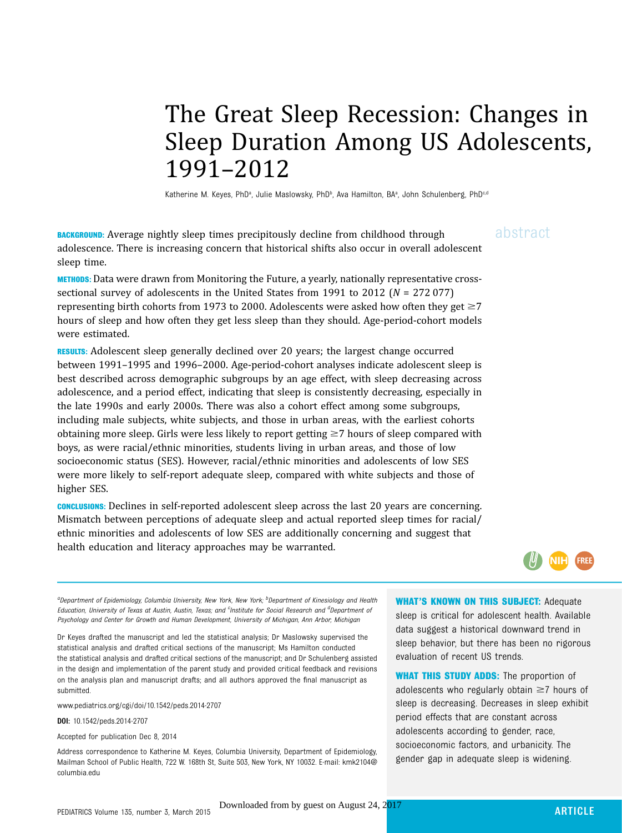## The Great Sleep Recession: Changes in Sleep Duration Among US Adolescents, 1991–2012

Katherine M. Keyes, PhDª, Julie Maslowsky, PhDʰ, Ava Hamilton, BAª, John Schulenberg, PhD<sup>c,d</sup>

**BACKGROUND:** Average nightly sleep times precipitously decline from childhood through  $a\bar{b}$ stract adolescence. There is increasing concern that historical shifts also occur in overall adolescent sleep time.

METHODS: Data were drawn from Monitoring the Future, a yearly, nationally representative crosssectional survey of adolescents in the United States from 1991 to 2012 ( $N = 27207$ ) representing birth cohorts from 1973 to 2000. Adolescents were asked how often they get  $\geq 7$ hours of sleep and how often they get less sleep than they should. Age-period-cohort models were estimated.

RESULTS: Adolescent sleep generally declined over 20 years; the largest change occurred between 1991–1995 and 1996–2000. Age-period-cohort analyses indicate adolescent sleep is best described across demographic subgroups by an age effect, with sleep decreasing across adolescence, and a period effect, indicating that sleep is consistently decreasing, especially in the late 1990s and early 2000s. There was also a cohort effect among some subgroups, including male subjects, white subjects, and those in urban areas, with the earliest cohorts obtaining more sleep. Girls were less likely to report getting  $\geq$  7 hours of sleep compared with boys, as were racial/ethnic minorities, students living in urban areas, and those of low socioeconomic status (SES). However, racial/ethnic minorities and adolescents of low SES were more likely to self-report adequate sleep, compared with white subjects and those of higher SES.

CONCLUSIONS: Declines in self-reported adolescent sleep across the last 20 years are concerning. Mismatch between perceptions of adequate sleep and actual reported sleep times for racial/ ethnic minorities and adolescents of low SES are additionally concerning and suggest that health education and literacy approaches may be warranted.



<sup>a</sup>Department of Epidemiology, Columbia University, New York, New York; <sup>b</sup>Department of Kinesiology and Health Education, University of Texas at Austin, Austin, Texas; and <sup>c</sup>Institute for Social Research and <sup>d</sup>Department oi Psychology and Center for Growth and Human Development, University of Michigan, Ann Arbor, Michigan

Dr Keyes drafted the manuscript and led the statistical analysis; Dr Maslowsky supervised the statistical analysis and drafted critical sections of the manuscript; Ms Hamilton conducted the statistical analysis and drafted critical sections of the manuscript; and Dr Schulenberg assisted in the design and implementation of the parent study and provided critical feedback and revisions on the analysis plan and manuscript drafts; and all authors approved the final manuscript as submitted.

www.pediatrics.org/cgi/doi/10.1542/peds.2014-2707

DOI: 10.1542/peds.2014-2707

Accepted for publication Dec 8, 2014

Address correspondence to Katherine M. Keyes, Columbia University, Department of Epidemiology, Mailman School of Public Health, 722 W. 168th St, Suite 503, New York, NY 10032. E-mail: kmk2104@ columbia.edu

WHAT'S KNOWN ON THIS SUBJECT: Adequate

sleep is critical for adolescent health. Available data suggest a historical downward trend in sleep behavior, but there has been no rigorous evaluation of recent US trends.

WHAT THIS STUDY ADDS: The proportion of adolescents who regularly obtain  $\geq$ 7 hours of sleep is decreasing. Decreases in sleep exhibit period effects that are constant across adolescents according to gender, race, socioeconomic factors, and urbanicity. The gender gap in adequate sleep is widening.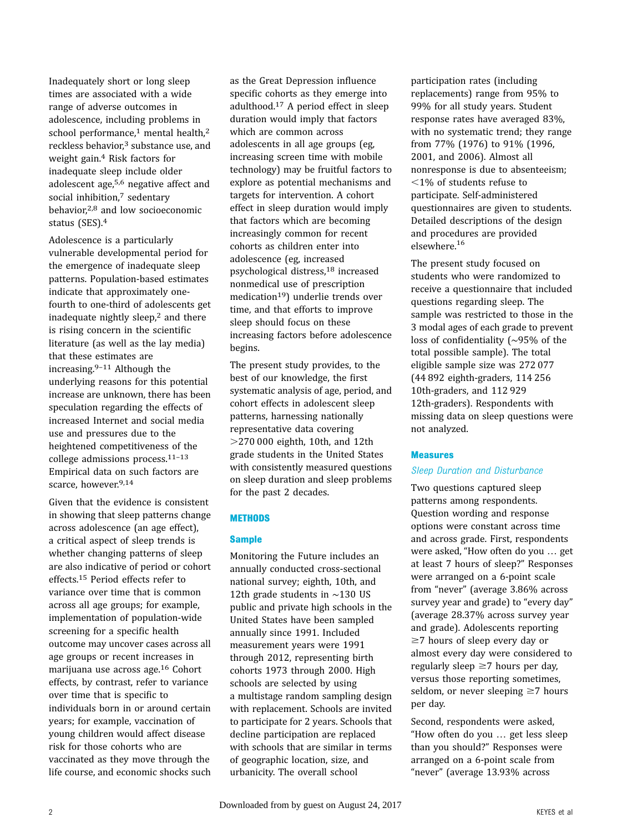Inadequately short or long sleep times are associated with a wide range of adverse outcomes in adolescence, including problems in school performance,<sup>1</sup> mental health,<sup>2</sup> reckless behavior,3 substance use, and weight gain.4 Risk factors for inadequate sleep include older adolescent age,5,6 negative affect and social inhibition,7 sedentary behavior,2,8 and low socioeconomic status (SES).4

Adolescence is a particularly vulnerable developmental period for the emergence of inadequate sleep patterns. Population-based estimates indicate that approximately onefourth to one-third of adolescents get inadequate nightly sleep, $<sup>2</sup>$  and there</sup> is rising concern in the scientific literature (as well as the lay media) that these estimates are increasing.9–<sup>11</sup> Although the underlying reasons for this potential increase are unknown, there has been speculation regarding the effects of increased Internet and social media use and pressures due to the heightened competitiveness of the college admissions process.11–<sup>13</sup> Empirical data on such factors are scarce, however.<sup>9,14</sup>

Given that the evidence is consistent in showing that sleep patterns change across adolescence (an age effect), a critical aspect of sleep trends is whether changing patterns of sleep are also indicative of period or cohort effects.15 Period effects refer to variance over time that is common across all age groups; for example, implementation of population-wide screening for a specific health outcome may uncover cases across all age groups or recent increases in marijuana use across age.16 Cohort effects, by contrast, refer to variance over time that is specific to individuals born in or around certain years; for example, vaccination of young children would affect disease risk for those cohorts who are vaccinated as they move through the life course, and economic shocks such

as the Great Depression influence specific cohorts as they emerge into adulthood.17 A period effect in sleep duration would imply that factors which are common across adolescents in all age groups (eg, increasing screen time with mobile technology) may be fruitful factors to explore as potential mechanisms and targets for intervention. A cohort effect in sleep duration would imply that factors which are becoming increasingly common for recent cohorts as children enter into adolescence (eg, increased psychological distress,18 increased nonmedical use of prescription  $mediation<sup>19</sup>$  underlie trends over time, and that efforts to improve sleep should focus on these increasing factors before adolescence begins.

The present study provides, to the best of our knowledge, the first systematic analysis of age, period, and cohort effects in adolescent sleep patterns, harnessing nationally representative data covering  $>$ 270 000 eighth, 10th, and 12th grade students in the United States with consistently measured questions on sleep duration and sleep problems for the past 2 decades.

#### **METHODS**

#### **Sample**

Monitoring the Future includes an annually conducted cross-sectional national survey; eighth, 10th, and 12th grade students in ∼130 US public and private high schools in the United States have been sampled annually since 1991. Included measurement years were 1991 through 2012, representing birth cohorts 1973 through 2000. High schools are selected by using a multistage random sampling design with replacement. Schools are invited to participate for 2 years. Schools that decline participation are replaced with schools that are similar in terms of geographic location, size, and urbanicity. The overall school

participation rates (including replacements) range from 95% to 99% for all study years. Student response rates have averaged 83%, with no systematic trend; they range from 77% (1976) to 91% (1996, 2001, and 2006). Almost all nonresponse is due to absenteeism;  $<$ 1% of students refuse to participate. Self-administered questionnaires are given to students. Detailed descriptions of the design and procedures are provided elsewhere.<sup>16</sup>

The present study focused on students who were randomized to receive a questionnaire that included questions regarding sleep. The sample was restricted to those in the 3 modal ages of each grade to prevent loss of confidentiality (∼95% of the total possible sample). The total eligible sample size was 272 077 (44 892 eighth-graders, 114 256 10th-graders, and 112 929 12th-graders). Respondents with missing data on sleep questions were not analyzed.

#### Measures

#### Sleep Duration and Disturbance

Two questions captured sleep patterns among respondents. Question wording and response options were constant across time and across grade. First, respondents were asked, "How often do you … get at least 7 hours of sleep?" Responses were arranged on a 6-point scale from "never" (average 3.86% across survey year and grade) to "every day" (average 28.37% across survey year and grade). Adolescents reporting  $\geq$ 7 hours of sleep every day or almost every day were considered to regularly sleep  $\geq 7$  hours per day, versus those reporting sometimes, seldom, or never sleeping  $\geq 7$  hours per day.

Second, respondents were asked, "How often do you … get less sleep than you should?" Responses were arranged on a 6-point scale from "never" (average 13.93% across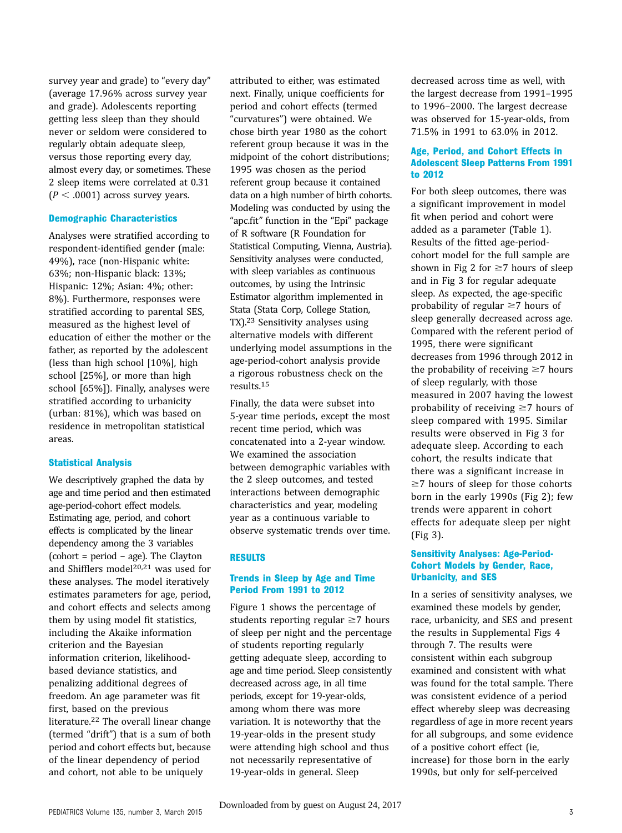survey year and grade) to "every day" (average 17.96% across survey year and grade). Adolescents reporting getting less sleep than they should never or seldom were considered to regularly obtain adequate sleep, versus those reporting every day, almost every day, or sometimes. These 2 sleep items were correlated at 0.31  $(P < .0001)$  across survey years.

#### Demographic Characteristics

Analyses were stratified according to respondent-identified gender (male: 49%), race (non-Hispanic white: 63%; non-Hispanic black: 13%; Hispanic: 12%; Asian: 4%; other: 8%). Furthermore, responses were stratified according to parental SES, measured as the highest level of education of either the mother or the father, as reported by the adolescent (less than high school [10%], high school [25%], or more than high school [65%]). Finally, analyses were stratified according to urbanicity (urban: 81%), which was based on residence in metropolitan statistical areas.

#### Statistical Analysis

We descriptively graphed the data by age and time period and then estimated age-period-cohort effect models. Estimating age, period, and cohort effects is complicated by the linear dependency among the 3 variables (cohort = period – age). The Clayton and Shifflers model<sup>20,21</sup> was used for these analyses. The model iteratively estimates parameters for age, period, and cohort effects and selects among them by using model fit statistics, including the Akaike information criterion and the Bayesian information criterion, likelihoodbased deviance statistics, and penalizing additional degrees of freedom. An age parameter was fit first, based on the previous literature.22 The overall linear change (termed "drift") that is a sum of both period and cohort effects but, because of the linear dependency of period and cohort, not able to be uniquely

attributed to either, was estimated next. Finally, unique coefficients for period and cohort effects (termed "curvatures") were obtained. We chose birth year 1980 as the cohort referent group because it was in the midpoint of the cohort distributions; 1995 was chosen as the period referent group because it contained data on a high number of birth cohorts. Modeling was conducted by using the "apc.fit" function in the "Epi" package of R software (R Foundation for Statistical Computing, Vienna, Austria). Sensitivity analyses were conducted, with sleep variables as continuous outcomes, by using the Intrinsic Estimator algorithm implemented in Stata (Stata Corp, College Station, TX).23 Sensitivity analyses using alternative models with different underlying model assumptions in the age-period-cohort analysis provide a rigorous robustness check on the results.15

Finally, the data were subset into 5-year time periods, except the most recent time period, which was concatenated into a 2-year window. We examined the association between demographic variables with the 2 sleep outcomes, and tested interactions between demographic characteristics and year, modeling year as a continuous variable to observe systematic trends over time.

#### RESULTS

#### Trends in Sleep by Age and Time Period From 1991 to 2012

Figure 1 shows the percentage of students reporting regular  $\geq$ 7 hours of sleep per night and the percentage of students reporting regularly getting adequate sleep, according to age and time period. Sleep consistently decreased across age, in all time periods, except for 19-year-olds, among whom there was more variation. It is noteworthy that the 19-year-olds in the present study were attending high school and thus not necessarily representative of 19-year-olds in general. Sleep

decreased across time as well, with the largest decrease from 1991–1995 to 1996–2000. The largest decrease was observed for 15-year-olds, from 71.5% in 1991 to 63.0% in 2012.

#### Age, Period, and Cohort Effects in Adolescent Sleep Patterns From 1991 to 2012

For both sleep outcomes, there was a significant improvement in model fit when period and cohort were added as a parameter (Table 1). Results of the fitted age-periodcohort model for the full sample are shown in Fig 2 for  $\geq$ 7 hours of sleep and in Fig 3 for regular adequate sleep. As expected, the age-specific probability of regular  $\geq 7$  hours of sleep generally decreased across age. Compared with the referent period of 1995, there were significant decreases from 1996 through 2012 in the probability of receiving  $\geq 7$  hours of sleep regularly, with those measured in 2007 having the lowest probability of receiving  $\geq 7$  hours of sleep compared with 1995. Similar results were observed in Fig 3 for adequate sleep. According to each cohort, the results indicate that there was a significant increase in  $\geq$ 7 hours of sleep for those cohorts born in the early 1990s (Fig 2); few trends were apparent in cohort effects for adequate sleep per night (Fig 3).

#### Sensitivity Analyses: Age-Period-Cohort Models by Gender, Race, Urbanicity, and SES

In a series of sensitivity analyses, we examined these models by gender, race, urbanicity, and SES and present the results in [Supplemental Figs 4](http://pediatrics.aappublications.org/lookup/suppl/doi:10.1542/peds.2014-2707/-/DCSupplemental) [through 7.](http://pediatrics.aappublications.org/lookup/suppl/doi:10.1542/peds.2014-2707/-/DCSupplemental) The results were consistent within each subgroup examined and consistent with what was found for the total sample. There was consistent evidence of a period effect whereby sleep was decreasing regardless of age in more recent years for all subgroups, and some evidence of a positive cohort effect (ie, increase) for those born in the early 1990s, but only for self-perceived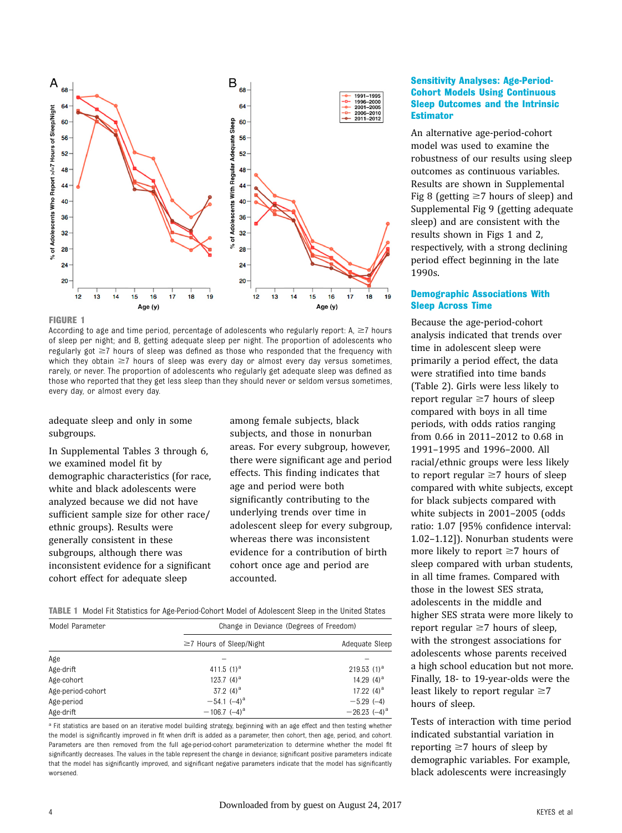

FIGURE 1

According to age and time period, percentage of adolescents who regularly report: A,  $\geq$ 7 hours of sleep per night; and B, getting adequate sleep per night. The proportion of adolescents who regularly got  $\geq$ 7 hours of sleep was defined as those who responded that the frequency with which they obtain  $\geq 7$  hours of sleep was every day or almost every day versus sometimes, rarely, or never. The proportion of adolescents who regularly get adequate sleep was defined as those who reported that they get less sleep than they should never or seldom versus sometimes, every day, or almost every day.

adequate sleep and only in some subgroups.

In [Supplemental Tables 3 through 6,](http://pediatrics.aappublications.org/lookup/suppl/doi:10.1542/peds.2014-2707/-/DCSupplemental) we examined model fit by demographic characteristics (for race, white and black adolescents were analyzed because we did not have sufficient sample size for other race/ ethnic groups). Results were generally consistent in these subgroups, although there was inconsistent evidence for a significant cohort effect for adequate sleep

among female subjects, black subjects, and those in nonurban areas. For every subgroup, however, there were significant age and period effects. This finding indicates that age and period were both significantly contributing to the underlying trends over time in adolescent sleep for every subgroup, whereas there was inconsistent evidence for a contribution of birth cohort once age and period are accounted.

|  |  |  |  | <b>TABLE 1</b> Model Fit Statistics for Age-Period-Cohort Model of Adolescent Sleep in the United States |
|--|--|--|--|----------------------------------------------------------------------------------------------------------|
|--|--|--|--|----------------------------------------------------------------------------------------------------------|

| Model Parameter   | Change in Deviance (Degrees of Freedom) |                     |  |  |
|-------------------|-----------------------------------------|---------------------|--|--|
|                   | $\geq$ 7 Hours of Sleep/Night           | Adequate Sleep      |  |  |
| Age               |                                         |                     |  |  |
| Age-drift         | 411.5 $(1)^a$                           | 219.53 $(1)^a$      |  |  |
| Age-cohort        | 123.7 $(4)^a$                           | 14.29 $(4)^a$       |  |  |
| Age-period-cohort | 37.2 $(4)^a$                            | 17.22 $(4)^a$       |  |  |
| Age-period        | $-54.1$ $(-4)^a$                        | $-5.29(-4)$         |  |  |
| Age-drift         | $-106.7$ $(-4)^a$                       | $-26.23$ $(-4)^{a}$ |  |  |

a Fit statistics are based on an iterative model building strategy, beginning with an age effect and then testing whether the model is significantly improved in fit when drift is added as a parameter, then cohort, then age, period, and cohort. Parameters are then removed from the full age-period-cohort parameterization to determine whether the model fit significantly decreases. The values in the table represent the change in deviance; significant positive parameters indicate that the model has significantly improved, and significant negative parameters indicate that the model has significantly worsened.

#### Sensitivity Analyses: Age-Period-Cohort Models Using Continuous Sleep Outcomes and the Intrinsic **Estimator**

An alternative age-period-cohort model was used to examine the robustness of our results using sleep outcomes as continuous variables. Results are shown in [Supplemental](http://pediatrics.aappublications.org/lookup/suppl/doi:10.1542/peds.2014-2707/-/DCSupplemental) [Fig 8](http://pediatrics.aappublications.org/lookup/suppl/doi:10.1542/peds.2014-2707/-/DCSupplemental) (getting  $\geq$ 7 hours of sleep) and [Supplemental Fig 9](http://pediatrics.aappublications.org/lookup/suppl/doi:10.1542/peds.2014-2707/-/DCSupplemental) (getting adequate sleep) and are consistent with the results shown in Figs 1 and 2, respectively, with a strong declining period effect beginning in the late 1990s.

#### Demographic Associations With Sleep Across Time

Because the age-period-cohort analysis indicated that trends over time in adolescent sleep were primarily a period effect, the data were stratified into time bands (Table 2). Girls were less likely to report regular  $\geq 7$  hours of sleep compared with boys in all time periods, with odds ratios ranging from 0.66 in 2011–2012 to 0.68 in 1991–1995 and 1996–2000. All racial/ethnic groups were less likely to report regular  $\geq$ 7 hours of sleep compared with white subjects, except for black subjects compared with white subjects in 2001–2005 (odds ratio: 1.07 [95% confidence interval: 1.02–1.12]). Nonurban students were more likely to report  $\geq 7$  hours of sleep compared with urban students, in all time frames. Compared with those in the lowest SES strata, adolescents in the middle and higher SES strata were more likely to report regular  $\geq 7$  hours of sleep, with the strongest associations for adolescents whose parents received a high school education but not more. Finally, 18- to 19-year-olds were the least likely to report regular  $\geq 7$ hours of sleep.

Tests of interaction with time period indicated substantial variation in reporting  $\geq 7$  hours of sleep by demographic variables. For example, black adolescents were increasingly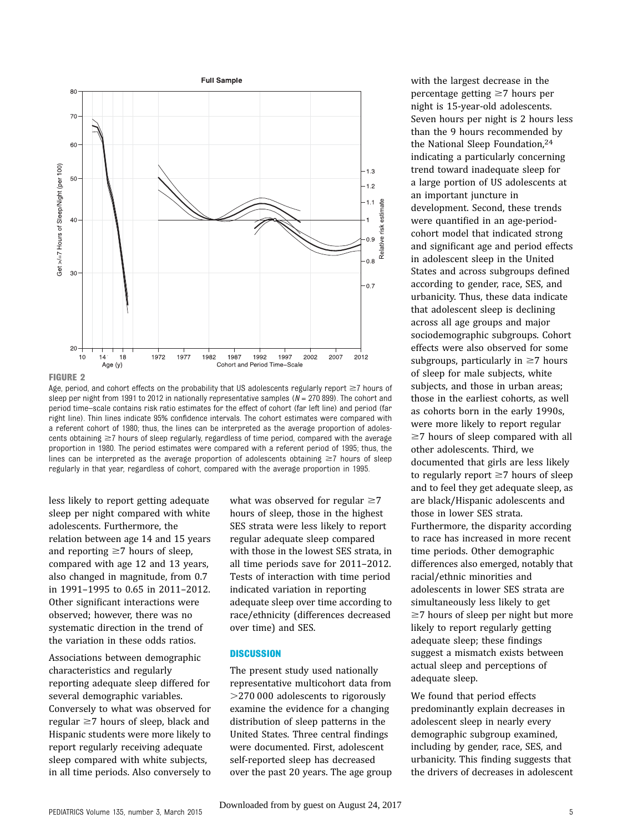



Age, period, and cohort effects on the probability that US adolescents regularly report  $\geq$ 7 hours of sleep per night from 1991 to 2012 in nationally representative samples  $(N = 270 899)$ . The cohort and period time–scale contains risk ratio estimates for the effect of cohort (far left line) and period (far right line). Thin lines indicate 95% confidence intervals. The cohort estimates were compared with a referent cohort of 1980; thus, the lines can be interpreted as the average proportion of adolescents obtaining  $\geq$ 7 hours of sleep regularly, regardless of time period, compared with the average proportion in 1980. The period estimates were compared with a referent period of 1995; thus, the lines can be interpreted as the average proportion of adolescents obtaining  $\geq 7$  hours of sleep regularly in that year, regardless of cohort, compared with the average proportion in 1995.

less likely to report getting adequate sleep per night compared with white adolescents. Furthermore, the relation between age 14 and 15 years and reporting  $\geq 7$  hours of sleep, compared with age 12 and 13 years, also changed in magnitude, from 0.7 in 1991–1995 to 0.65 in 2011–2012. Other significant interactions were observed; however, there was no systematic direction in the trend of the variation in these odds ratios.

Associations between demographic characteristics and regularly reporting adequate sleep differed for several demographic variables. Conversely to what was observed for regular  $\geq$ 7 hours of sleep, black and Hispanic students were more likely to report regularly receiving adequate sleep compared with white subjects, in all time periods. Also conversely to

what was observed for regular  $\geq 7$ hours of sleep, those in the highest SES strata were less likely to report regular adequate sleep compared with those in the lowest SES strata, in all time periods save for 2011–2012. Tests of interaction with time period indicated variation in reporting adequate sleep over time according to race/ethnicity (differences decreased over time) and SES.

#### **DISCUSSION**

The present study used nationally representative multicohort data from  $>$ 270 000 adolescents to rigorously examine the evidence for a changing distribution of sleep patterns in the United States. Three central findings were documented. First, adolescent self-reported sleep has decreased over the past 20 years. The age group with the largest decrease in the percentage getting  $\geq 7$  hours per night is 15-year-old adolescents. Seven hours per night is 2 hours less than the 9 hours recommended by the National Sleep Foundation,24 indicating a particularly concerning trend toward inadequate sleep for a large portion of US adolescents at an important juncture in development. Second, these trends were quantified in an age-periodcohort model that indicated strong and significant age and period effects in adolescent sleep in the United States and across subgroups defined according to gender, race, SES, and urbanicity. Thus, these data indicate that adolescent sleep is declining across all age groups and major sociodemographic subgroups. Cohort effects were also observed for some subgroups, particularly in  $\geq 7$  hours of sleep for male subjects, white subjects, and those in urban areas; those in the earliest cohorts, as well as cohorts born in the early 1990s, were more likely to report regular  $\geq$ 7 hours of sleep compared with all other adolescents. Third, we documented that girls are less likely to regularly report  $\geq 7$  hours of sleep and to feel they get adequate sleep, as are black/Hispanic adolescents and those in lower SES strata. Furthermore, the disparity according to race has increased in more recent time periods. Other demographic differences also emerged, notably that racial/ethnic minorities and adolescents in lower SES strata are simultaneously less likely to get  $\geq$ 7 hours of sleep per night but more likely to report regularly getting adequate sleep; these findings suggest a mismatch exists between actual sleep and perceptions of adequate sleep.

We found that period effects predominantly explain decreases in adolescent sleep in nearly every demographic subgroup examined, including by gender, race, SES, and urbanicity. This finding suggests that the drivers of decreases in adolescent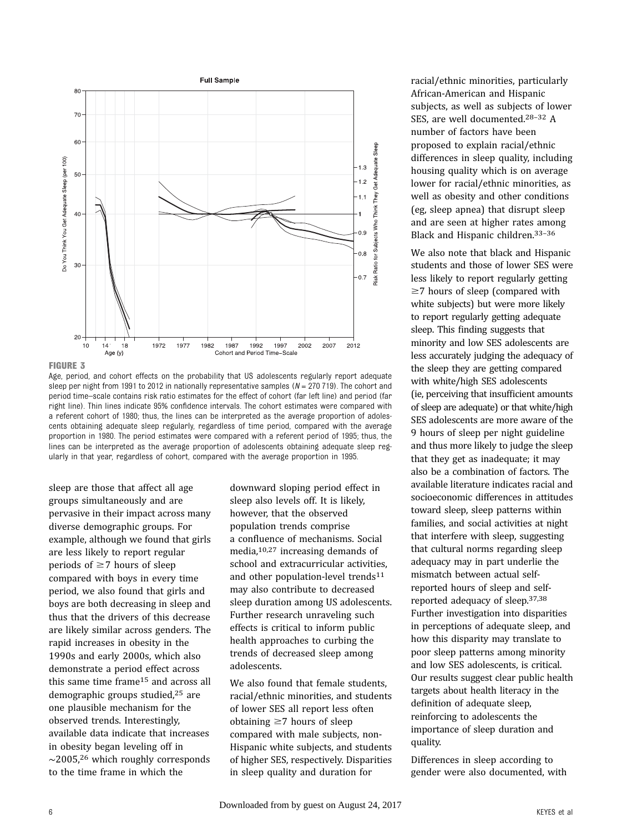



Age, period, and cohort effects on the probability that US adolescents regularly report adequate sleep per night from 1991 to 2012 in nationally representative samples ( $N = 270$  719). The cohort and period time–scale contains risk ratio estimates for the effect of cohort (far left line) and period (far right line). Thin lines indicate 95% confidence intervals. The cohort estimates were compared with a referent cohort of 1980; thus, the lines can be interpreted as the average proportion of adolescents obtaining adequate sleep regularly, regardless of time period, compared with the average proportion in 1980. The period estimates were compared with a referent period of 1995; thus, the lines can be interpreted as the average proportion of adolescents obtaining adequate sleep regularly in that year, regardless of cohort, compared with the average proportion in 1995.

sleep are those that affect all age groups simultaneously and are pervasive in their impact across many diverse demographic groups. For example, although we found that girls are less likely to report regular periods of  $\geq$ 7 hours of sleep compared with boys in every time period, we also found that girls and boys are both decreasing in sleep and thus that the drivers of this decrease are likely similar across genders. The rapid increases in obesity in the 1990s and early 2000s, which also demonstrate a period effect across this same time frame<sup>15</sup> and across all demographic groups studied,25 are one plausible mechanism for the observed trends. Interestingly, available data indicate that increases in obesity began leveling off in ∼2005,26 which roughly corresponds to the time frame in which the

downward sloping period effect in sleep also levels off. It is likely, however, that the observed population trends comprise a confluence of mechanisms. Social media,10,27 increasing demands of school and extracurricular activities, and other population-level trends<sup>11</sup> may also contribute to decreased sleep duration among US adolescents. Further research unraveling such effects is critical to inform public health approaches to curbing the trends of decreased sleep among adolescents.

We also found that female students, racial/ethnic minorities, and students of lower SES all report less often obtaining  $\geq 7$  hours of sleep compared with male subjects, non-Hispanic white subjects, and students of higher SES, respectively. Disparities in sleep quality and duration for

racial/ethnic minorities, particularly African-American and Hispanic subjects, as well as subjects of lower SES, are well documented.28–<sup>32</sup> A number of factors have been proposed to explain racial/ethnic differences in sleep quality, including housing quality which is on average lower for racial/ethnic minorities, as well as obesity and other conditions (eg, sleep apnea) that disrupt sleep and are seen at higher rates among Black and Hispanic children.33–<sup>36</sup>

We also note that black and Hispanic students and those of lower SES were less likely to report regularly getting  $\geq$ 7 hours of sleep (compared with white subjects) but were more likely to report regularly getting adequate sleep. This finding suggests that minority and low SES adolescents are less accurately judging the adequacy of the sleep they are getting compared with white/high SES adolescents (ie, perceiving that insufficient amounts of sleep are adequate) or that white/high SES adolescents are more aware of the 9 hours of sleep per night guideline and thus more likely to judge the sleep that they get as inadequate; it may also be a combination of factors. The available literature indicates racial and socioeconomic differences in attitudes toward sleep, sleep patterns within families, and social activities at night that interfere with sleep, suggesting that cultural norms regarding sleep adequacy may in part underlie the mismatch between actual selfreported hours of sleep and selfreported adequacy of sleep.37,38 Further investigation into disparities in perceptions of adequate sleep, and how this disparity may translate to poor sleep patterns among minority and low SES adolescents, is critical. Our results suggest clear public health targets about health literacy in the definition of adequate sleep, reinforcing to adolescents the importance of sleep duration and quality.

Differences in sleep according to gender were also documented, with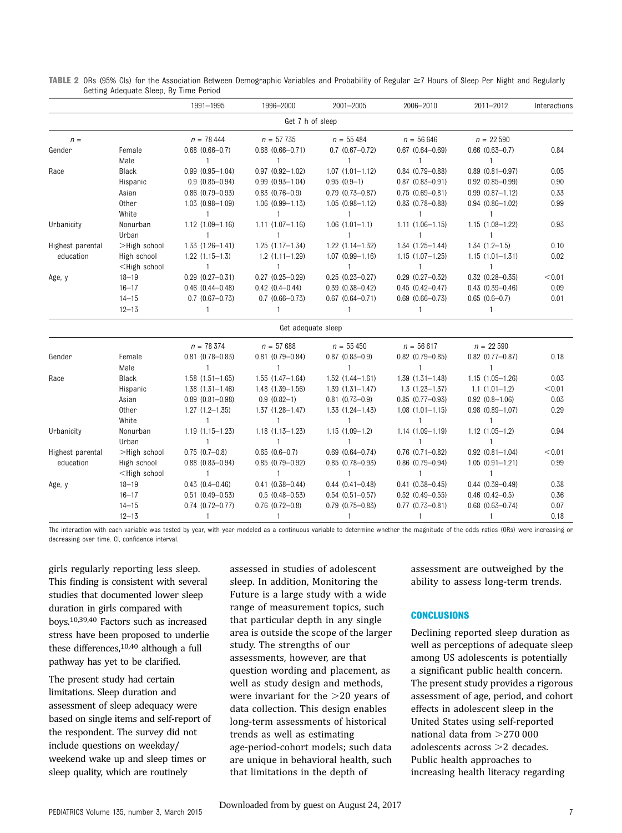|                  |                                                                                                                                                                                                           | 1991-1995              | 1996-2000              | 2001-2005              | 2006-2010              | 2011-2012              | Interactions |
|------------------|-----------------------------------------------------------------------------------------------------------------------------------------------------------------------------------------------------------|------------------------|------------------------|------------------------|------------------------|------------------------|--------------|
|                  |                                                                                                                                                                                                           |                        | Get 7 h of sleep       |                        |                        |                        |              |
| $n =$            |                                                                                                                                                                                                           | $n = 78444$            | $n = 57735$            | $n = 55484$            | $n = 56646$            | $n = 22590$            |              |
| Gender           | Female                                                                                                                                                                                                    | $0.68$ $(0.66 - 0.7)$  | $0.68$ $(0.66 - 0.71)$ | $0.7$ $(0.67 - 0.72)$  | $0.67$ $(0.64 - 0.69)$ | $0.66$ $(0.63 - 0.7)$  | 0.84         |
|                  | Male                                                                                                                                                                                                      | $\mathbf{1}$           | 1                      | $\mathbf{1}$           | $\mathbf{1}$           | 1                      |              |
| Race             | Black                                                                                                                                                                                                     | $0.99$ $(0.95 - 1.04)$ | $0.97$ $(0.92 - 1.02)$ | $1.07$ $(1.01 - 1.12)$ | $0.84$ $(0.79 - 0.88)$ | $0.89$ $(0.81 - 0.97)$ | 0.05         |
|                  | Hispanic                                                                                                                                                                                                  | $0.9(0.85 - 0.94)$     | $0.99(0.93 - 1.04)$    | $0.95(0.9-1)$          | $0.87$ $(0.83 - 0.91)$ | $0.92$ $(0.85 - 0.99)$ | 0.90         |
|                  | Asian                                                                                                                                                                                                     | $0.86$ $(0.79 - 0.93)$ | $0.83$ $(0.76 - 0.9)$  | $0.79$ $(0.73 - 0.87)$ | $0.75(0.69 - 0.81)$    | $0.99(0.87 - 1.12)$    | 0.33         |
|                  | Other                                                                                                                                                                                                     | $1.03$ $(0.98 - 1.09)$ | $1.06$ $(0.99 - 1.13)$ | $1.05(0.98 - 1.12)$    | $0.83$ $(0.78 - 0.88)$ | $0.94$ $(0.86 - 1.02)$ | 0.99         |
|                  | White                                                                                                                                                                                                     | $\mathbf{1}$           | $\mathbf{1}$           | $\mathbf{1}$           | $\mathbf{1}$           | $\mathbf{1}$           |              |
| Urbanicity       | Nonurban                                                                                                                                                                                                  | $1.12(1.09 - 1.16)$    | $1.11(1.07 - 1.16)$    | $1.06(1.01-1.1)$       | $1.11(1.06 - 1.15)$    | $1.15(1.08 - 1.22)$    | 0.93         |
|                  | Urban                                                                                                                                                                                                     | $\mathbf{1}$           | 1                      | $\mathbf{1}$           | $\mathbf{1}$           | $\mathbf{1}$           |              |
| Highest parental | >High school                                                                                                                                                                                              | $1.33(1.26 - 1.41)$    | $1.25(1.17-1.34)$      | $1.22$ $(1.14 - 1.32)$ | $1.34$ $(1.25 - 1.44)$ | $1.34$ $(1.2-1.5)$     | 0.10         |
| education        | High school                                                                                                                                                                                               | $1.22$ $(1.15-1.3)$    | $1.2(1.11 - 1.29)$     | $1.07$ $(0.99 - 1.16)$ | $1.15(1.07 - 1.25)$    | $1.15(1.01 - 1.31)$    | 0.02         |
|                  | <high school<="" td=""><td><math>\overline{1}</math></td><td><math>\mathbf{1}</math></td><td><math>\mathbf{1}</math></td><td><math>\mathbf{1}</math></td><td><math>\mathbf{1}</math></td><td></td></high> | $\overline{1}$         | $\mathbf{1}$           | $\mathbf{1}$           | $\mathbf{1}$           | $\mathbf{1}$           |              |
| Age, y           | $18 - 19$                                                                                                                                                                                                 | $0.29$ $(0.27 - 0.31)$ | $0.27$ $(0.25 - 0.29)$ | $0.25(0.23 - 0.27)$    | $0.29$ $(0.27 - 0.32)$ | $0.32$ $(0.28 - 0.35)$ | < 0.01       |
|                  | $16 - 17$                                                                                                                                                                                                 | $0.46$ $(0.44 - 0.48)$ | $0.42(0.4 - 0.44)$     | $0.39$ $(0.38 - 0.42)$ | $0.45(0.42 - 0.47)$    | $0.43$ $(0.39 - 0.46)$ | 0.09         |
|                  | $14 - 15$                                                                                                                                                                                                 | $0.7$ $(0.67 - 0.73)$  | $0.7$ $(0.66 - 0.73)$  | $0.67$ $(0.64 - 0.71)$ | $0.69$ $(0.66 - 0.73)$ | $0.65$ $(0.6 - 0.7)$   | 0.01         |
|                  | $12 - 13$                                                                                                                                                                                                 | $\mathbf{1}$           | $\mathbf{1}$           | $\mathbf{1}$           | $\mathbf{1}$           | $\mathbf{1}$           |              |
|                  |                                                                                                                                                                                                           |                        | Get adequate sleep     |                        |                        |                        |              |
|                  |                                                                                                                                                                                                           | $n = 78374$            | $n = 57688$            | $n = 55450$            | $n = 56617$            | $n = 22590$            |              |
| Gender           | Female                                                                                                                                                                                                    | $0.81$ (0.78-0.83)     | $0.81$ (0.79-0.84)     | $0.87$ $(0.83 - 0.9)$  | $0.82$ $(0.79 - 0.85)$ | $0.82$ $(0.77 - 0.87)$ | 0.18         |
|                  | Male                                                                                                                                                                                                      | 1                      | $\mathbf{1}$           | 1                      | 1                      | $\mathbf{1}$           |              |
| Race             | Black                                                                                                                                                                                                     | $1.58$ $(1.51 - 1.65)$ | $1.55(1.47 - 1.64)$    | $1.52$ $(1.44 - 1.61)$ | $1.39(1.31 - 1.48)$    | $1.15(1.05 - 1.26)$    | 0.03         |
|                  | Hispanic                                                                                                                                                                                                  | $1.38(1.31 - 1.46)$    | $1.48(1.39 - 1.56)$    | $1.39(1.31 - 1.47)$    | $1.3(1.23 - 1.37)$     | $1.1(1.01-1.2)$        | < 0.01       |
|                  | Asian                                                                                                                                                                                                     | $0.89$ $(0.81 - 0.98)$ | $0.9(0.82-1)$          | $0.81$ $(0.73 - 0.9)$  | $0.85$ $(0.77 - 0.93)$ | $0.92$ $(0.8 - 1.06)$  | 0.03         |
|                  | 0ther                                                                                                                                                                                                     | $1.27(1.2 - 1.35)$     | $1.37(1.28 - 1.47)$    | $1.33(1.24 - 1.43)$    | $1.08$ $(1.01 - 1.15)$ | $0.98$ $(0.89 - 1.07)$ | 0.29         |
|                  | White                                                                                                                                                                                                     | $\mathbf{1}$           | $\mathbf{1}$           | $\mathbf{1}$           | $\mathbf{1}$           | $\mathbf{1}$           |              |
| Urbanicity       | Nonurban                                                                                                                                                                                                  | $1.19(1.15 - 1.23)$    | $1.18(1.13 - 1.23)$    | $1.15(1.09-1.2)$       | $1.14(1.09 - 1.19)$    | $1.12(1.05 - 1.2)$     | 0.94         |
|                  | Urban                                                                                                                                                                                                     | $\mathbf{1}$           | $\mathbf{1}$           | $\mathbf{1}$           | $\mathbf{1}$           | $\mathbf{1}$           |              |
| Highest parental | >High school                                                                                                                                                                                              | $0.75(0.7-0.8)$        | $0.65$ $(0.6-0.7)$     | $0.69$ $(0.64 - 0.74)$ | $0.76$ $(0.71 - 0.82)$ | $0.92$ $(0.81 - 1.04)$ | < 0.01       |
| education        | High school                                                                                                                                                                                               | $0.88$ $(0.83 - 0.94)$ | $0.85(0.79 - 0.92)$    | $0.85$ $(0.78 - 0.93)$ | $0.86$ $(0.79 - 0.94)$ | $1.05(0.91 - 1.21)$    | 0.99         |
|                  | <high school<="" td=""><td><math>\mathbf{1}</math></td><td>1</td><td>1</td><td><math>\mathbf{1}</math></td><td><math>\mathbf{1}</math></td><td></td></high>                                               | $\mathbf{1}$           | 1                      | 1                      | $\mathbf{1}$           | $\mathbf{1}$           |              |
| Age, y           | $18 - 19$                                                                                                                                                                                                 | $0.43(0.4 - 0.46)$     | $0.41(0.38 - 0.44)$    | $0.44$ $(0.41 - 0.48)$ | $0.41(0.38 - 0.45)$    | $0.44$ $(0.39 - 0.49)$ | 0.38         |
|                  | $16 - 17$                                                                                                                                                                                                 | $0.51(0.49 - 0.53)$    | $0.5(0.48 - 0.53)$     | $0.54$ $(0.51 - 0.57)$ | $0.52$ $(0.49 - 0.55)$ | $0.46$ $(0.42 - 0.5)$  | 0.36         |
|                  | $14 - 15$                                                                                                                                                                                                 | $0.74$ $(0.72 - 0.77)$ | $0.76$ $(0.72 - 0.8)$  | $0.79$ $(0.75 - 0.83)$ | $0.77$ $(0.73 - 0.81)$ | $0.68$ $(0.63 - 0.74)$ | 0.07         |
|                  | $12 - 13$                                                                                                                                                                                                 | $\mathbf{1}$           | 1                      | $\mathbf{1}$           | $\mathbf{1}$           | $\mathbf{1}$           | 0.18         |

TABLE 2 ORs (95% CIs) for the Association Between Demographic Variables and Probability of Regular  $\geq$ 7 Hours of Sleep Per Night and Regularly Getting Adequate Sleep, By Time Period

The interaction with each variable was tested by year, with year modeled as a continuous variable to determine whether the magnitude of the odds ratios (ORs) were increasing or decreasing over time. CI, confidence interval.

girls regularly reporting less sleep. This finding is consistent with several studies that documented lower sleep duration in girls compared with boys.10,39,40 Factors such as increased stress have been proposed to underlie these differences,10,40 although a full pathway has yet to be clarified.

The present study had certain limitations. Sleep duration and assessment of sleep adequacy were based on single items and self-report of the respondent. The survey did not include questions on weekday/ weekend wake up and sleep times or sleep quality, which are routinely

assessed in studies of adolescent sleep. In addition, Monitoring the Future is a large study with a wide range of measurement topics, such that particular depth in any single area is outside the scope of the larger study. The strengths of our assessments, however, are that question wording and placement, as well as study design and methods, were invariant for the  $>20$  years of data collection. This design enables long-term assessments of historical trends as well as estimating age-period-cohort models; such data are unique in behavioral health, such that limitations in the depth of

assessment are outweighed by the ability to assess long-term trends.

#### **CONCLUSIONS**

Declining reported sleep duration as well as perceptions of adequate sleep among US adolescents is potentially a significant public health concern. The present study provides a rigorous assessment of age, period, and cohort effects in adolescent sleep in the United States using self-reported national data from  $>270,000$ adolescents across  $>2$  decades. Public health approaches to increasing health literacy regarding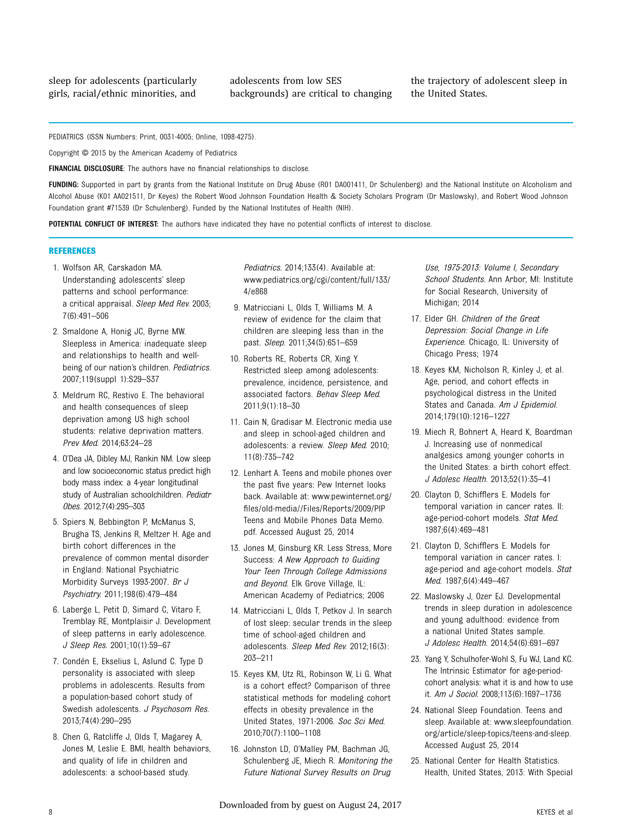adolescents from low SES backgrounds) are critical to changing the trajectory of adolescent sleep in the United States.

PEDIATRICS (ISSN Numbers: Print, 0031-4005; Online, 1098-4275).

Copyright © 2015 by the American Academy of Pediatrics

FINANCIAL DISCLOSURE: The authors have no financial relationships to disclose.

FUNDING: Supported in part by grants from the National Institute on Drug Abuse (R01 DA001411, Dr Schulenberg) and the National Institute on Alcoholism and Alcohol Abuse (K01 AA021511, Dr Keyes) the Robert Wood Johnson Foundation Health & Society Scholars Program (Dr Maslowsky), and Robert Wood Johnson Foundation grant #71539 (Dr Schulenberg). Funded by the National Institutes of Health (NIH).

POTENTIAL CONFLICT OF INTEREST: The authors have indicated they have no potential conflicts of interest to disclose.

#### REFERENCES

- 1. Wolfson AR, Carskadon MA. Understanding adolescents' sleep patterns and school performance: a critical appraisal. Sleep Med Rev. 2003; 7(6):491–506
- 2. Smaldone A, Honig JC, Byrne MW. Sleepless in America: inadequate sleep and relationships to health and wellbeing of our nation's children. Pediatrics. 2007;119(suppl 1):S29–S37
- 3. Meldrum RC, Restivo E. The behavioral and health consequences of sleep deprivation among US high school students: relative deprivation matters. Prev Med. 2014;63:24–28
- 4. O'Dea JA, Dibley MJ, Rankin NM. Low sleep and low socioeconomic status predict high body mass index: a 4-year longitudinal study of Australian schoolchildren. Pediatr Obes. 2012;7(4):295–303
- 5. Spiers N, Bebbington P, McManus S, Brugha TS, Jenkins R, Meltzer H. Age and birth cohort differences in the prevalence of common mental disorder in England: National Psychiatric Morbidity Surveys 1993-2007. Br J Psychiatry. 2011;198(6):479–484
- 6. Laberge L, Petit D, Simard C, Vitaro F, Tremblay RE, Montplaisir J. Development of sleep patterns in early adolescence. J Sleep Res. 2001;10(1):59–67
- 7. Condén E, Ekselius L, Aslund C. Type D personality is associated with sleep problems in adolescents. Results from a population-based cohort study of Swedish adolescents. J Psychosom Res. 2013;74(4):290–295
- 8. Chen G, Ratcliffe J, Olds T, Magarey A, Jones M, Leslie E. BMI, health behaviors, and quality of life in children and adolescents: a school-based study.

Pediatrics. 2014;133(4). Available at: [www.pediatrics.org/cgi/content/full/133/](http://www.pediatrics.org/cgi/content/full/133/4/e868) [4/e868](http://www.pediatrics.org/cgi/content/full/133/4/e868)

- 9. Matricciani L, Olds T, Williams M. A review of evidence for the claim that children are sleeping less than in the past. Sleep. 2011;34(5):651–659
- 10. Roberts RE, Roberts CR, Xing Y. Restricted sleep among adolescents: prevalence, incidence, persistence, and associated factors. Behav Sleep Med. 2011;9(1):18–30
- 11. Cain N, Gradisar M. Electronic media use and sleep in school-aged children and adolescents: a review. Sleep Med. 2010; 11(8):735–742
- 12. Lenhart A. Teens and mobile phones over the past five years: Pew Internet looks back. Available at: [www.pewinternet.org/](http://www.pewinternet.org/files/old-media//Files/Reports/2009/PIPTeensandMobilePhonesDataMemo.pdf) fi[les/old-media//Files/Reports/2009/PIP](http://www.pewinternet.org/files/old-media//Files/Reports/2009/PIPTeensandMobilePhonesDataMemo.pdf) [Teens and Mobile Phones Data Memo.](http://www.pewinternet.org/files/old-media//Files/Reports/2009/PIPTeensandMobilePhonesDataMemo.pdf) [pdf](http://www.pewinternet.org/files/old-media//Files/Reports/2009/PIPTeensandMobilePhonesDataMemo.pdf). Accessed August 25, 2014
- 13. Jones M, Ginsburg KR. Less Stress, More Success: A New Approach to Guiding Your Teen Through College Admissions and Beyond. Elk Grove Village, IL: American Academy of Pediatrics; 2006
- 14. Matricciani L, Olds T, Petkov J. In search of lost sleep: secular trends in the sleep time of school-aged children and adolescents. Sleep Med Rev. 2012;16(3): 203–211
- 15. Keyes KM, Utz RL, Robinson W, Li G. What is a cohort effect? Comparison of three statistical methods for modeling cohort effects in obesity prevalence in the United States, 1971-2006. Soc Sci Med. 2010;70(7):1100–1108
- 16. Johnston LD, O'Malley PM, Bachman JG, Schulenberg JE, Miech R. Monitoring the Future National Survey Results on Drug

Use, 1975-2013: Volume I, Secondary School Students. Ann Arbor, MI: Institute for Social Research, University of Michigan; 2014

- 17. Elder GH. Children of the Great Depression: Social Change in Life Experience. Chicago, IL: University of Chicago Press; 1974
- 18. Keyes KM, Nicholson R, Kinley J, et al. Age, period, and cohort effects in psychological distress in the United States and Canada. Am J Epidemiol. 2014;179(10):1216–1227
- 19. Miech R, Bohnert A, Heard K, Boardman J. Increasing use of nonmedical analgesics among younger cohorts in the United States: a birth cohort effect. J Adolesc Health. 2013;52(1):35–41
- 20. Clayton D, Schifflers E. Models for temporal variation in cancer rates. II: age-period-cohort models. Stat Med. 1987;6(4):469–481
- 21. Clayton D, Schifflers E. Models for temporal variation in cancer rates. I: age-period and age-cohort models. Stat Med. 1987;6(4):449–467
- 22. Maslowsky J, Ozer EJ. Developmental trends in sleep duration in adolescence and young adulthood: evidence from a national United States sample. J Adolesc Health. 2014;54(6):691–697
- 23. Yang Y, Schulhofer-Wohl S, Fu WJ, Land KC. The Intrinsic Estimator for age-periodcohort analysis: what it is and how to use it. Am J Sociol. 2008;113(6):1697–1736
- 24. National Sleep Foundation. Teens and sleep. Available at: [www.sleepfoundation.](http://www.sleepfoundation.org/article/sleep-topics/teens-and-sleep) [org/article/sleep-topics/teens-and-sleep.](http://www.sleepfoundation.org/article/sleep-topics/teens-and-sleep) Accessed August 25, 2014
- 25. National Center for Health Statistics. Health, United States, 2013: With Special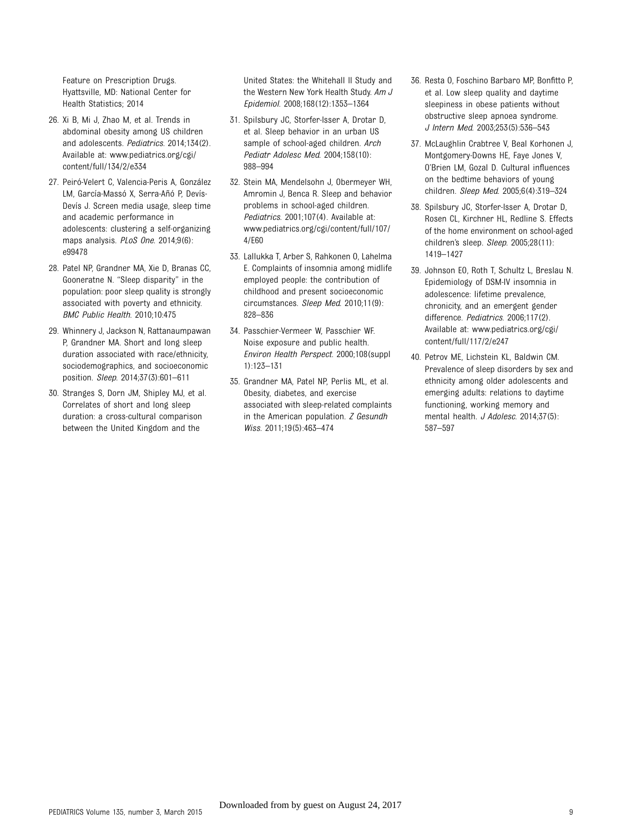Feature on Prescription Drugs. Hyattsville, MD: National Center for Health Statistics; 2014

- 26. Xi B, Mi J, Zhao M, et al. Trends in abdominal obesity among US children and adolescents. Pediatrics. 2014;134(2). Available at: [www.pediatrics.org/cgi/](http://www.pediatrics.org/cgi/content/full/134/2/e334) [content/full/134/2/e334](http://www.pediatrics.org/cgi/content/full/134/2/e334)
- 27. Peiró-Velert C, Valencia-Peris A, González LM, García-Massó X, Serra-Añó P, Devís-Devís J. Screen media usage, sleep time and academic performance in adolescents: clustering a self-organizing maps analysis. PLoS One. 2014;9(6): e99478
- 28. Patel NP, Grandner MA, Xie D, Branas CC, Gooneratne N. "Sleep disparity" in the population: poor sleep quality is strongly associated with poverty and ethnicity. BMC Public Health. 2010;10:475
- 29. Whinnery J, Jackson N, Rattanaumpawan P, Grandner MA. Short and long sleep duration associated with race/ethnicity, sociodemographics, and socioeconomic position. Sleep. 2014;37(3):601–611
- 30. Stranges S, Dorn JM, Shipley MJ, et al. Correlates of short and long sleep duration: a cross-cultural comparison between the United Kingdom and the

United States: the Whitehall II Study and the Western New York Health Study. Am J Epidemiol. 2008;168(12):1353–1364

- 31. Spilsbury JC, Storfer-Isser A, Drotar D, et al. Sleep behavior in an urban US sample of school-aged children. Arch Pediatr Adolesc Med. 2004;158(10): 988–994
- 32. Stein MA, Mendelsohn J, Obermeyer WH, Amromin J, Benca R. Sleep and behavior problems in school-aged children. Pediatrics. 2001;107(4). Available at: [www.pediatrics.org/cgi/content/full/107/](http://www.pediatrics.org/cgi/content/full/107/4/E60) [4/E60](http://www.pediatrics.org/cgi/content/full/107/4/E60)
- 33. Lallukka T, Arber S, Rahkonen O, Lahelma E. Complaints of insomnia among midlife employed people: the contribution of childhood and present socioeconomic circumstances. Sleep Med. 2010;11(9): 828–836
- 34. Passchier-Vermeer W, Passchier WF. Noise exposure and public health. Environ Health Perspect. 2000;108(suppl 1):123–131
- 35. Grandner MA, Patel NP, Perlis ML, et al. Obesity, diabetes, and exercise associated with sleep-related complaints in the American population. Z Gesundh Wiss. 2011;19(5):463–474
- 36. Resta O, Foschino Barbaro MP, Bonfitto P, et al. Low sleep quality and daytime sleepiness in obese patients without obstructive sleep apnoea syndrome. J Intern Med. 2003;253(5):536–543
- 37. McLaughlin Crabtree V, Beal Korhonen J, Montgomery-Downs HE, Faye Jones V, O'Brien LM, Gozal D. Cultural influences on the bedtime behaviors of young children. Sleep Med. 2005;6(4):319–324
- 38. Spilsbury JC, Storfer-Isser A, Drotar D, Rosen CL, Kirchner HL, Redline S. Effects of the home environment on school-aged children's sleep. Sleep. 2005;28(11): 1419–1427
- 39. Johnson EO, Roth T, Schultz L, Breslau N. Epidemiology of DSM-IV insomnia in adolescence: lifetime prevalence, chronicity, and an emergent gender difference. Pediatrics. 2006;117(2). Available at: [www.pediatrics.org/cgi/](http://www.pediatrics.org/cgi/content/full/117/2/e247) [content/full/117/2/e247](http://www.pediatrics.org/cgi/content/full/117/2/e247)
- 40. Petrov ME, Lichstein KL, Baldwin CM. Prevalence of sleep disorders by sex and ethnicity among older adolescents and emerging adults: relations to daytime functioning, working memory and mental health. J Adolesc. 2014;37(5): 587–597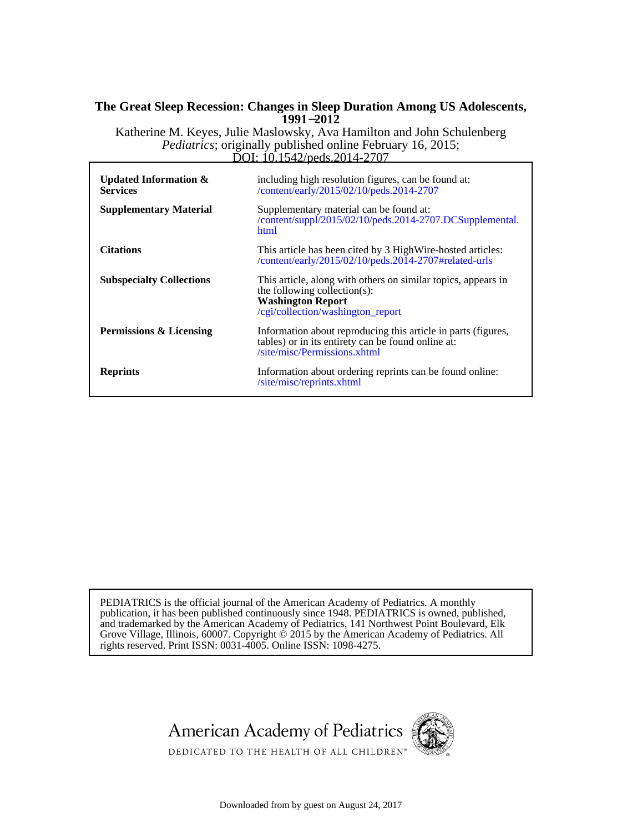### **1991**−**2012 The Great Sleep Recession: Changes in Sleep Duration Among US Adolescents,**

DOI: 10.1542/peds.2014-2707 *Pediatrics*; originally published online February 16, 2015; Katherine M. Keyes, Julie Maslowsky, Ava Hamilton and John Schulenberg

| Updated Information $\&$<br><b>Services</b> | including high resolution figures, can be found at:<br>/content/early/2015/02/10/peds.2014-2707                                                                |
|---------------------------------------------|----------------------------------------------------------------------------------------------------------------------------------------------------------------|
| <b>Supplementary Material</b>               | Supplementary material can be found at:<br>/content/suppl/2015/02/10/peds.2014-2707.DCSupplemental.<br>html                                                    |
| <b>Citations</b>                            | This article has been cited by 3 High Wire-hosted articles:<br>/content/early/2015/02/10/peds.2014-2707#related-urls                                           |
| <b>Subspecialty Collections</b>             | This article, along with others on similar topics, appears in<br>the following collection(s):<br><b>Washington Report</b><br>/cgi/collection/washington_report |
| <b>Permissions &amp; Licensing</b>          | Information about reproducing this article in parts (figures,<br>tables) or in its entirety can be found online at:<br>/site/misc/Permissions.xhtml            |
| <b>Reprints</b>                             | Information about ordering reprints can be found online:<br>/site/misc/reprints.xhtml                                                                          |

rights reserved. Print ISSN: 0031-4005. Online ISSN: 1098-4275. Grove Village, Illinois, 60007. Copyright  $\acute{\text{o}}$  2015 by the American Academy of Pediatrics. All and trademarked by the American Academy of Pediatrics, 141 Northwest Point Boulevard, Elk publication, it has been published continuously since 1948. PEDIATRICS is owned, published, PEDIATRICS is the official journal of the American Academy of Pediatrics. A monthly





DEDICATED TO THE HEALTH OF ALL CHILDREN<sup>™</sup>